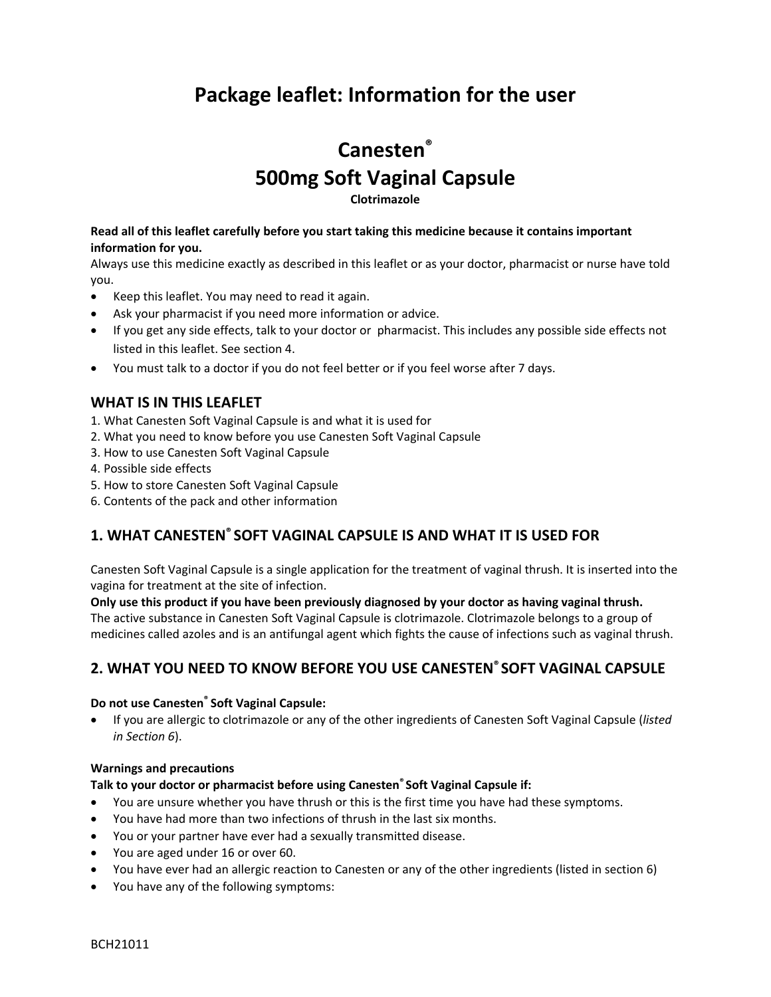## **Package leaflet: Information for the user**

# **Canesten® 500mg Soft Vaginal Capsule**

**Clotrimazole**

#### **Read all of this leaflet carefully before you start taking this medicine because it contains important information for you.**

Always use this medicine exactly as described in this leaflet or as your doctor, pharmacist or nurse have told you.

- Keep this leaflet. You may need to read it again.
- Ask your pharmacist if you need more information or advice.
- If you get any side effects, talk to your doctor or pharmacist. This includes any possible side effects not listed in this leaflet. See section 4.
- You must talk to a doctor if you do not feel better or if you feel worse after 7 days.

### **WHAT IS IN THIS LEAFLET**

- 1. What Canesten Soft Vaginal Capsule is and what it is used for
- 2. What you need to know before you use Canesten Soft Vaginal Capsule
- 3. How to use Canesten Soft Vaginal Capsule
- 4. Possible side effects
- 5. How to store Canesten Soft Vaginal Capsule
- 6. Contents of the pack and other information

## **1. WHAT CANESTEN® SOFT VAGINAL CAPSULE IS AND WHAT IT IS USED FOR**

Canesten Soft Vaginal Capsule is a single application for the treatment of vaginal thrush. It is inserted into the vagina for treatment at the site of infection.

**Only use this product if you have been previously diagnosed by your doctor as having vaginal thrush.** The active substance in Canesten Soft Vaginal Capsule is clotrimazole. Clotrimazole belongs to a group of medicines called azoles and is an antifungal agent which fights the cause of infections such as vaginal thrush.

## **2. WHAT YOU NEED TO KNOW BEFORE YOU USE CANESTEN® SOFT VAGINAL CAPSULE**

#### **Do not use Canesten ® Soft Vaginal Capsule:**

 If you are allergic to clotrimazole or any of the other ingredients of Canesten Soft Vaginal Capsule (*listed in Section 6*).

#### **Warnings and precautions**

#### **Talk to your doctor or pharmacist before using Canesten® Soft Vaginal Capsule if:**

- You are unsure whether you have thrush or this is the first time you have had these symptoms.
- You have had more than two infections of thrush in the last six months.
- You or your partner have ever had a sexually transmitted disease.
- You are aged under 16 or over 60.
- You have ever had an allergic reaction to Canesten or any of the other ingredients (listed in section 6)
- You have any of the following symptoms: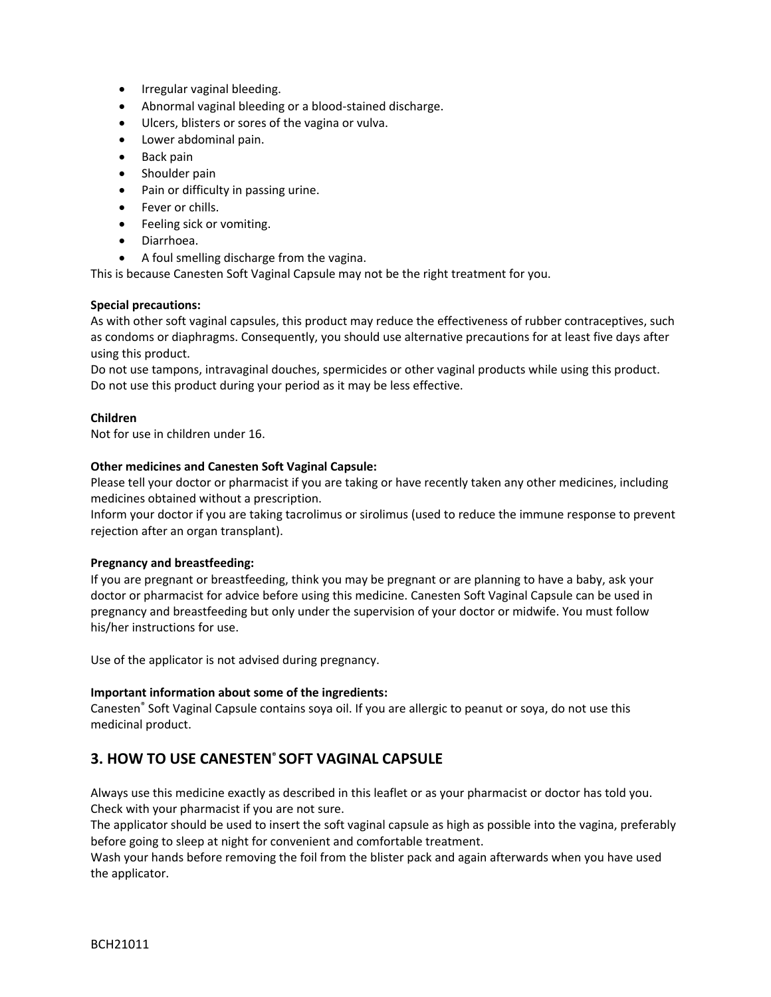- Irregular vaginal bleeding.
- Abnormal vaginal bleeding or a blood-stained discharge.
- Ulcers, blisters or sores of the vagina or vulva.
- Lower abdominal pain.
- Back pain
- Shoulder pain
- Pain or difficulty in passing urine.
- Fever or chills.
- Feeling sick or vomiting.
- Diarrhoea.
- A foul smelling discharge from the vagina.

This is because Canesten Soft Vaginal Capsule may not be the right treatment for you.

#### **Special precautions:**

As with other soft vaginal capsules, this product may reduce the effectiveness of rubber contraceptives, such as condoms or diaphragms. Consequently, you should use alternative precautions for at least five days after using this product.

Do not use tampons, intravaginal douches, spermicides or other vaginal products while using this product. Do not use this product during your period as it may be less effective.

#### **Children**

Not for use in children under 16.

#### **Other medicines and Canesten Soft Vaginal Capsule:**

Please tell your doctor or pharmacist if you are taking or have recently taken any other medicines, including medicines obtained without a prescription.

Inform your doctor if you are taking tacrolimus or sirolimus (used to reduce the immune response to prevent rejection after an organ transplant).

#### **Pregnancy and breastfeeding:**

If you are pregnant or breastfeeding, think you may be pregnant or are planning to have a baby, ask your doctor or pharmacist for advice before using this medicine. Canesten Soft Vaginal Capsule can be used in pregnancy and breastfeeding but only under the supervision of your doctor or midwife. You must follow his/her instructions for use.

Use of the applicator is not advised during pregnancy.

#### **Important information about some of the ingredients:**

Canesten® Soft Vaginal Capsule contains soya oil. If you are allergic to peanut or soya, do not use this medicinal product.

## **3. HOW TO USE CANESTEN® SOFT VAGINAL CAPSULE**

Always use this medicine exactly as described in this leaflet or as your pharmacist or doctor has told you. Check with your pharmacist if you are not sure.

The applicator should be used to insert the soft vaginal capsule as high as possible into the vagina, preferably before going to sleep at night for convenient and comfortable treatment.

Wash your hands before removing the foil from the blister pack and again afterwards when you have used the applicator.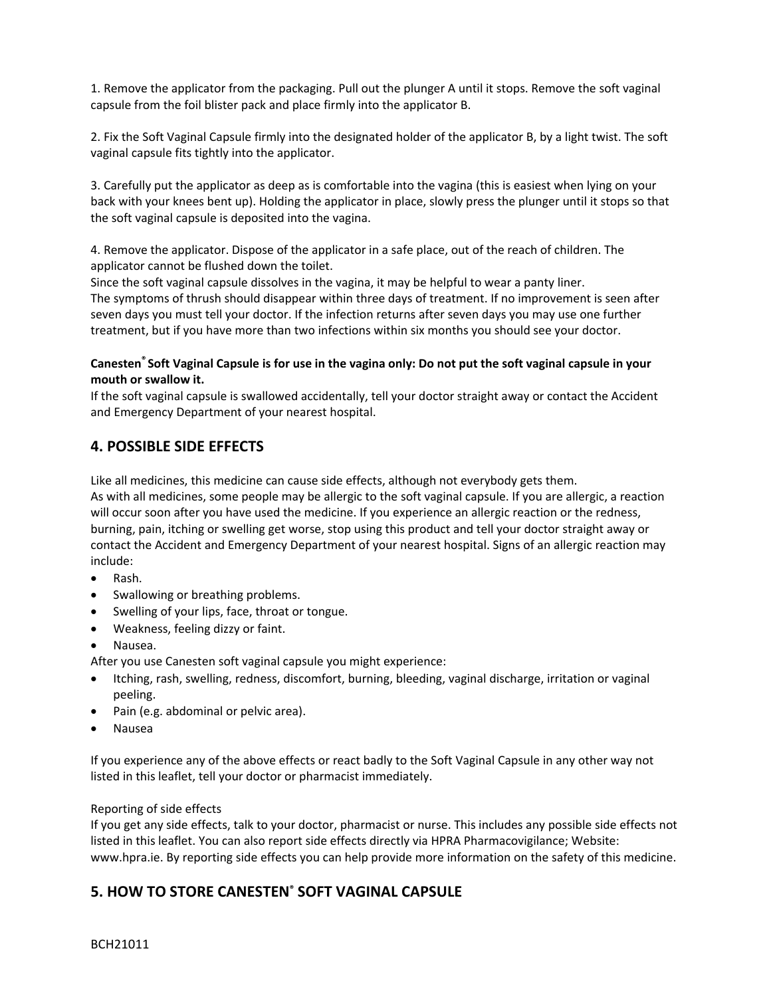1. Remove the applicator from the packaging. Pull out the plunger A until it stops. Remove the soft vaginal capsule from the foil blister pack and place firmly into the applicator B.

2. Fix the Soft Vaginal Capsule firmly into the designated holder of the applicator B, by a light twist. The soft vaginal capsule fits tightly into the applicator.

3. Carefully put the applicator as deep as is comfortable into the vagina (this is easiest when lying on your back with your knees bent up). Holding the applicator in place, slowly press the plunger until it stops so that the soft vaginal capsule is deposited into the vagina.

4. Remove the applicator. Dispose of the applicator in a safe place, out of the reach of children. The applicator cannot be flushed down the toilet.

Since the soft vaginal capsule dissolves in the vagina, it may be helpful to wear a panty liner. The symptoms of thrush should disappear within three days of treatment. If no improvement is seen after seven days you must tell your doctor. If the infection returns after seven days you may use one further treatment, but if you have more than two infections within six months you should see your doctor.

#### **Canesten® Soft Vaginal Capsule is for use in the vagina only: Do not put the soft vaginal capsule in your mouth or swallow it.**

If the soft vaginal capsule is swallowed accidentally, tell your doctor straight away or contact the Accident and Emergency Department of your nearest hospital.

## **4. POSSIBLE SIDE EFFECTS**

Like all medicines, this medicine can cause side effects, although not everybody gets them.

As with all medicines, some people may be allergic to the soft vaginal capsule. If you are allergic, a reaction will occur soon after you have used the medicine. If you experience an allergic reaction or the redness, burning, pain, itching or swelling get worse, stop using this product and tell your doctor straight away or contact the Accident and Emergency Department of your nearest hospital. Signs of an allergic reaction may include:

- Rash.
- Swallowing or breathing problems.
- Swelling of your lips, face, throat or tongue.
- Weakness, feeling dizzy or faint.
- Nausea.

After you use Canesten soft vaginal capsule you might experience:

- Itching, rash, swelling, redness, discomfort, burning, bleeding, vaginal discharge, irritation or vaginal peeling.
- Pain (e.g. abdominal or pelvic area).
- Nausea

If you experience any of the above effects or react badly to the Soft Vaginal Capsule in any other way not listed in this leaflet, tell your doctor or pharmacist immediately.

#### Reporting of side effects

If you get any side effects, talk to your doctor, pharmacist or nurse. This includes any possible side effects not listed in this leaflet. You can also report side effects directly via HPRA Pharmacovigilance; Website: www.hpra.ie. By reporting side effects you can help provide more information on the safety of this medicine.

## **5. HOW TO STORE CANESTEN® SOFT VAGINAL CAPSULE**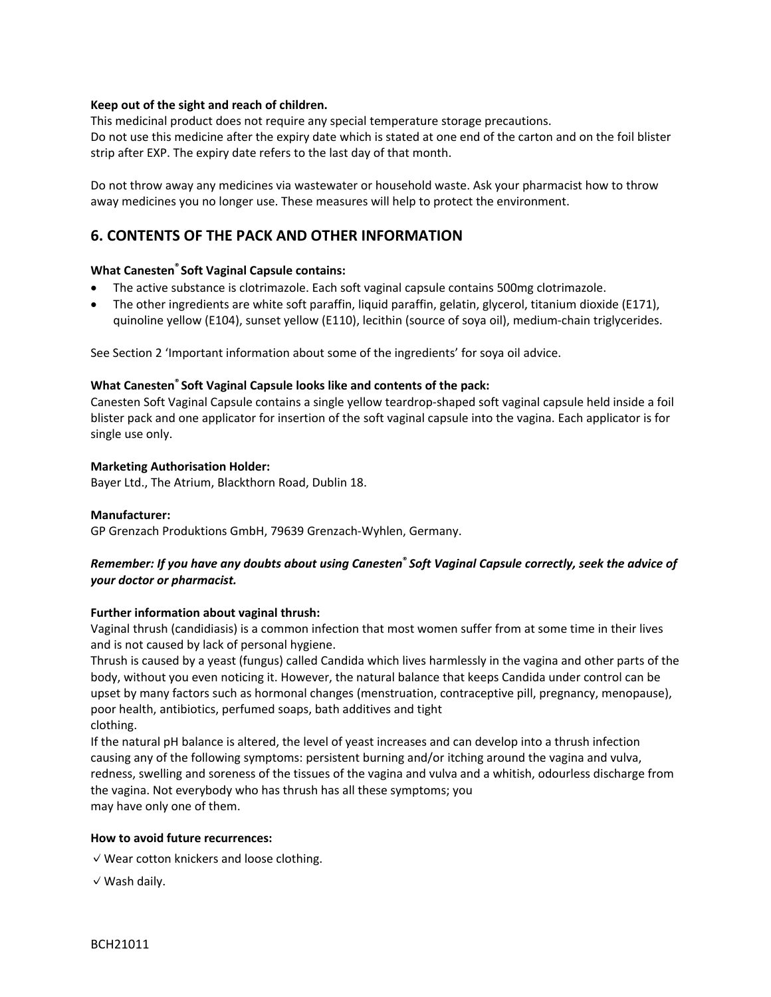#### **Keep out of the sight and reach of children.**

This medicinal product does not require any special temperature storage precautions. Do not use this medicine after the expiry date which is stated at one end of the carton and on the foil blister strip after EXP. The expiry date refers to the last day of that month.

Do not throw away any medicines via wastewater or household waste. Ask your pharmacist how to throw away medicines you no longer use. These measures will help to protect the environment.

## **6. CONTENTS OF THE PACK AND OTHER INFORMATION**

#### **What Canesten® Soft Vaginal Capsule contains:**

- The active substance is clotrimazole. Each soft vaginal capsule contains 500mg clotrimazole.
- The other ingredients are white soft paraffin, liquid paraffin, gelatin, glycerol, titanium dioxide (E171), quinoline yellow (E104), sunset yellow (E110), lecithin (source of soya oil), medium-chain triglycerides.

See Section 2 'Important information about some of the ingredients' for soya oil advice.

#### **What Canesten® Soft Vaginal Capsule looks like and contents of the pack:**

Canesten Soft Vaginal Capsule contains a single yellow teardrop-shaped soft vaginal capsule held inside a foil blister pack and one applicator for insertion of the soft vaginal capsule into the vagina. Each applicator is for single use only.

#### **Marketing Authorisation Holder:**

Bayer Ltd., The Atrium, Blackthorn Road, Dublin 18.

#### **Manufacturer:**

GP Grenzach Produktions GmbH, 79639 Grenzach-Wyhlen, Germany.

#### *Remember: If you have any doubts about using Canesten***®** *Soft Vaginal Capsule correctly, seek the advice of your doctor or pharmacist.*

#### **Further information about vaginal thrush:**

Vaginal thrush (candidiasis) is a common infection that most women suffer from at some time in their lives and is not caused by lack of personal hygiene.

Thrush is caused by a yeast (fungus) called Candida which lives harmlessly in the vagina and other parts of the body, without you even noticing it. However, the natural balance that keeps Candida under control can be upset by many factors such as hormonal changes (menstruation, contraceptive pill, pregnancy, menopause), poor health, antibiotics, perfumed soaps, bath additives and tight clothing.

If the natural pH balance is altered, the level of yeast increases and can develop into a thrush infection causing any of the following symptoms: persistent burning and/or itching around the vagina and vulva, redness, swelling and soreness of the tissues of the vagina and vulva and a whitish, odourless discharge from the vagina. Not everybody who has thrush has all these symptoms; you may have only one of them.

#### **How to avoid future recurrences:**

✓Wear cotton knickers and loose clothing.

✓Wash daily.